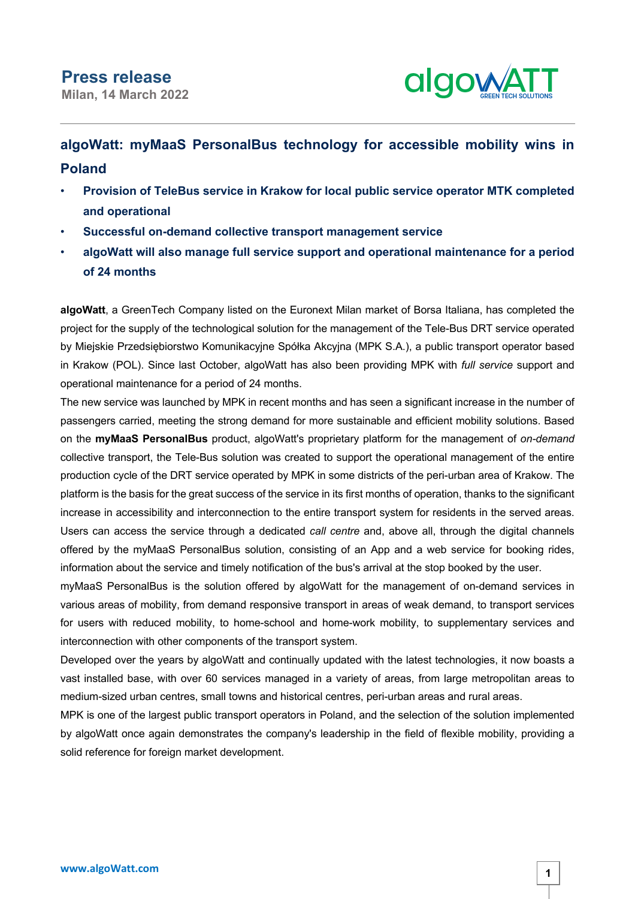

## **algoWatt: myMaaS PersonalBus technology for accessible mobility wins in Poland**

- **Provision of TeleBus service in Krakow for local public service operator MTK completed and operational**
- **Successful on-demand collective transport management service**
- **algoWatt will also manage full service support and operational maintenance for a period of 24 months**

**algoWatt**, a GreenTech Company listed on the Euronext Milan market of Borsa Italiana, has completed the project for the supply of the technological solution for the management of the Tele-Bus DRT service operated by Miejskie Przedsiębiorstwo Komunikacyjne Spółka Akcyjna (MPK S.A.), a public transport operator based in Krakow (POL). Since last October, algoWatt has also been providing MPK with *full service* support and operational maintenance for a period of 24 months.

The new service was launched by MPK in recent months and has seen a significant increase in the number of passengers carried, meeting the strong demand for more sustainable and efficient mobility solutions. Based on the **myMaaS PersonalBus** product, algoWatt's proprietary platform for the management of *on-demand* collective transport, the Tele-Bus solution was created to support the operational management of the entire production cycle of the DRT service operated by MPK in some districts of the peri-urban area of Krakow. The platform is the basis for the great success of the service in its first months of operation, thanks to the significant increase in accessibility and interconnection to the entire transport system for residents in the served areas. Users can access the service through a dedicated *call centre* and, above all, through the digital channels offered by the myMaaS PersonalBus solution, consisting of an App and a web service for booking rides, information about the service and timely notification of the bus's arrival at the stop booked by the user.

myMaaS PersonalBus is the solution offered by algoWatt for the management of on-demand services in various areas of mobility, from demand responsive transport in areas of weak demand, to transport services for users with reduced mobility, to home-school and home-work mobility, to supplementary services and interconnection with other components of the transport system.

Developed over the years by algoWatt and continually updated with the latest technologies, it now boasts a vast installed base, with over 60 services managed in a variety of areas, from large metropolitan areas to medium-sized urban centres, small towns and historical centres, peri-urban areas and rural areas.

MPK is one of the largest public transport operators in Poland, and the selection of the solution implemented by algoWatt once again demonstrates the company's leadership in the field of flexible mobility, providing a solid reference for foreign market development.